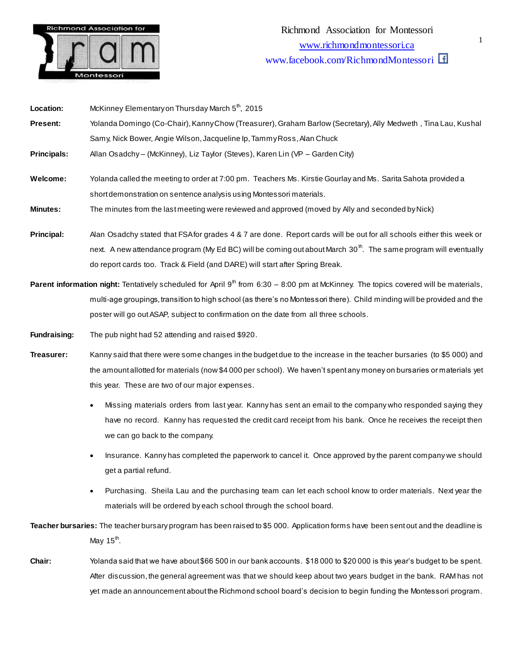

| Location:                                                                                                                                        | McKinney Elementary on Thursday March 5 <sup>th</sup> , 2015                                                                 |
|--------------------------------------------------------------------------------------------------------------------------------------------------|------------------------------------------------------------------------------------------------------------------------------|
| Present:                                                                                                                                         | Yolanda Domingo (Co-Chair), Kanny Chow (Treasurer), Graham Barlow (Secretary), Ally Medweth, Tina Lau, Kushal                |
|                                                                                                                                                  | Samy, Nick Bower, Angie Wilson, Jacqueline Ip, Tammy Ross, Alan Chuck                                                        |
| <b>Principals:</b>                                                                                                                               | Allan Osadchy - (McKinney), Liz Taylor (Steves), Karen Lin (VP - Garden City)                                                |
|                                                                                                                                                  |                                                                                                                              |
| Welcome:                                                                                                                                         | Yolanda called the meeting to order at 7:00 pm. Teachers Ms. Kirstie Gourlay and Ms. Sarita Sahota provided a                |
|                                                                                                                                                  | short demonstration on sentence analysis using Montessori materials.                                                         |
| <b>Minutes:</b>                                                                                                                                  | The minutes from the last meeting were reviewed and approved (moved by Ally and seconded by Nick)                            |
|                                                                                                                                                  |                                                                                                                              |
| Principal:                                                                                                                                       | Alan Osadchy stated that FSA for grades 4 & 7 are done. Report cards will be out for all schools either this week or         |
|                                                                                                                                                  | next. A new attendance program (My Ed BC) will be coming out about March 30 <sup>th</sup> . The same program will eventually |
|                                                                                                                                                  | do report cards too. Track & Field (and DARE) will start after Spring Break.                                                 |
| Parent information night: Tentatively scheduled for April 9 <sup>th</sup> from 6:30 – 8:00 pm at McKinney. The topics covered will be materials, |                                                                                                                              |
|                                                                                                                                                  | multi-age groupings, transition to high school (as there's no Montessori there). Child minding will be provided and the      |
|                                                                                                                                                  | poster will go out ASAP, subject to confirmation on the date from all three schools.                                         |

**Fundraising:** The pub night had 52 attending and raised \$920.

**Treasurer:** Kanny said that there were some changes in the budget due to the increase in the teacher bursaries (to \$5 000) and the amount allotted for materials (now \$4 000 per school). We haven't spent any money on bursaries or materials yet this year. These are two of our major expenses.

- Missing materials orders from last year. Kanny has sent an email to the company who responded saying they have no record. Kanny has requested the credit card receipt from his bank. Once he receives the receipt then we can go back to the company.
- Insurance. Kanny has completed the paperwork to cancel it. Once approved by the parent company we should get a partial refund.
- Purchasing. Sheila Lau and the purchasing team can let each school know to order materials. Next year the materials will be ordered by each school through the school board.

**Teacher bursaries:** The teacher bursary program has been raised to \$5 000. Application forms have been sent out and the deadline is May 15<sup>th</sup>.

**Chair:** Yolanda said that we have about \$66 500 in our bank accounts. \$18 000 to \$20 000 is this year's budget to be spent. After discussion, the general agreement was that we should keep about two years budget in the bank. RAM has not yet made an announcement about the Richmond school board's decision to begin funding the Montessori program.